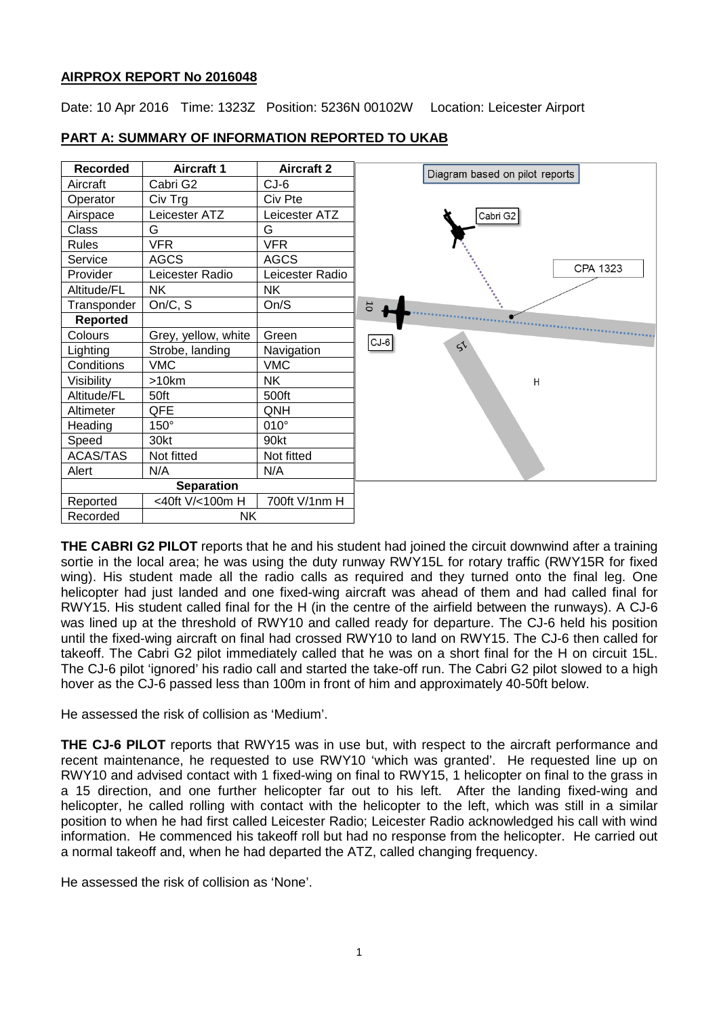## **AIRPROX REPORT No 2016048**

Date: 10 Apr 2016 Time: 1323Z Position: 5236N 00102W Location: Leicester Airport



## **PART A: SUMMARY OF INFORMATION REPORTED TO UKAB**

**THE CABRI G2 PILOT** reports that he and his student had joined the circuit downwind after a training sortie in the local area; he was using the duty runway RWY15L for rotary traffic (RWY15R for fixed wing). His student made all the radio calls as required and they turned onto the final leg. One helicopter had just landed and one fixed-wing aircraft was ahead of them and had called final for RWY15. His student called final for the H (in the centre of the airfield between the runways). A CJ-6 was lined up at the threshold of RWY10 and called ready for departure. The CJ-6 held his position until the fixed-wing aircraft on final had crossed RWY10 to land on RWY15. The CJ-6 then called for takeoff. The Cabri G2 pilot immediately called that he was on a short final for the H on circuit 15L. The CJ-6 pilot 'ignored' his radio call and started the take-off run. The Cabri G2 pilot slowed to a high hover as the CJ-6 passed less than 100m in front of him and approximately 40-50ft below.

He assessed the risk of collision as 'Medium'.

**THE CJ-6 PILOT** reports that RWY15 was in use but, with respect to the aircraft performance and recent maintenance, he requested to use RWY10 'which was granted'. He requested line up on RWY10 and advised contact with 1 fixed-wing on final to RWY15, 1 helicopter on final to the grass in a 15 direction, and one further helicopter far out to his left. After the landing fixed-wing and helicopter, he called rolling with contact with the helicopter to the left, which was still in a similar position to when he had first called Leicester Radio; Leicester Radio acknowledged his call with wind information. He commenced his takeoff roll but had no response from the helicopter. He carried out a normal takeoff and, when he had departed the ATZ, called changing frequency.

He assessed the risk of collision as 'None'.